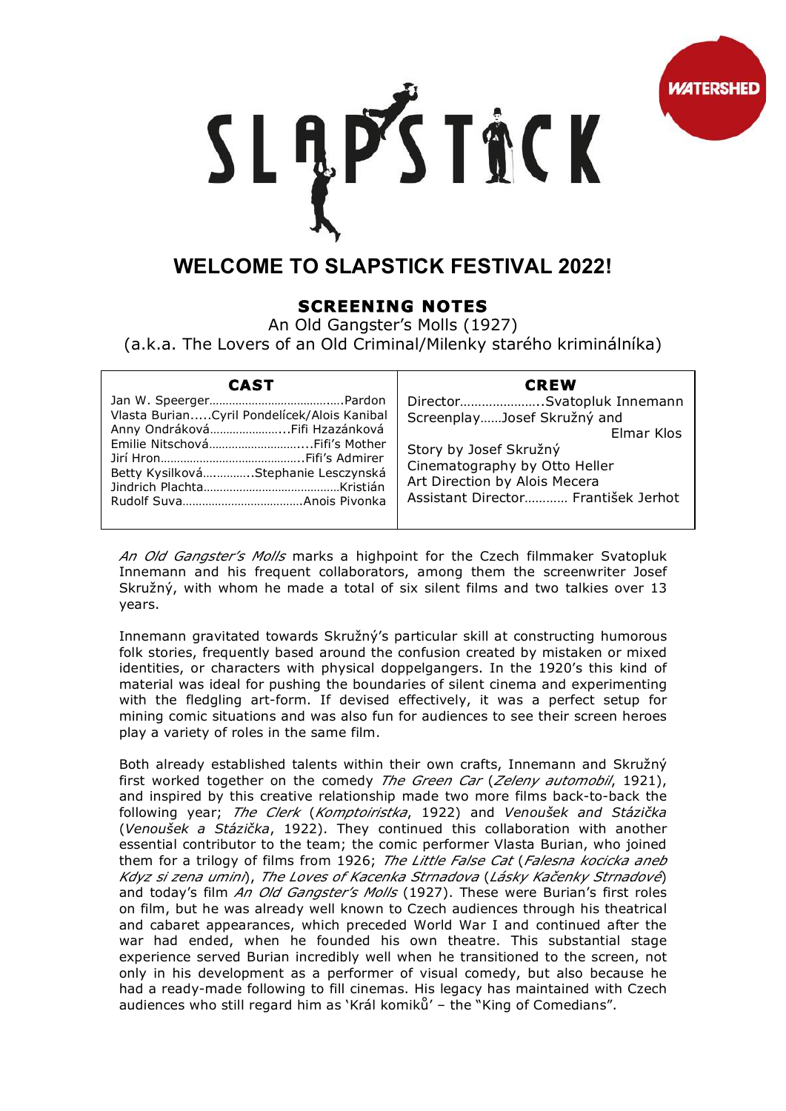

## SLĄPSTACK

## **WELCOME TO SLAPSTICK FESTIVAL 2022!**

## **SCREENING NOTES**

An Old Gangster's Molls (1927)

(a.k.a. The Lovers of an Old Criminal/Milenky starého kriminálníka)

| <b>CAST</b>                                                                                                         | <b>CREW</b>                                                                                                                                                                                                |
|---------------------------------------------------------------------------------------------------------------------|------------------------------------------------------------------------------------------------------------------------------------------------------------------------------------------------------------|
| Vlasta BurianCyril Pondelícek/Alois Kanibal<br>Anny OndrákováFifi Hzazánková<br>Betty KysilkováStephanie Lesczynská | DirectorSvatopluk Innemann<br>ScreenplayJosef Skružný and<br>Elmar Klos<br>Story by Josef Skružný<br>Cinematography by Otto Heller<br>Art Direction by Alois Mecera<br>Assistant Director František Jerhot |

*An Old Gangster's Molls* marks a highpoint for the Czech filmmaker Svatopluk Innemann and his frequent collaborators, among them the screenwriter Josef Skružný, with whom he made a total of six silent films and two talkies over 13 years.

Innemann gravitated towards Skružný's particular skill at constructing humorous folk stories, frequently based around the confusion created by mistaken or mixed identities, or characters with physical doppelgangers. In the 1920's this kind of material was ideal for pushing the boundaries of silent cinema and experimenting with the fledgling art-form. If devised effectively, it was a perfect setup for mining comic situations and was also fun for audiences to see their screen heroes play a variety of roles in the same film.

Both already established talents within their own crafts, Innemann and Skružný first worked together on the comedy *The Green Car* (*Zeleny automobil*, 1921), and inspired by this creative relationship made two more films back-to-back the following year; *The Clerk* (*Komptoiristka*, 1922) and *Venoušek and Stázička* (*Venoušek a Stázička*, 1922). They continued this collaboration with another essential contributor to the team; the comic performer Vlasta Burian, who joined them for a trilogy of films from 1926; *The Little False Cat* (*Falesna kocicka aneb Kdyz si zena umini*), *The Loves of Kacenka Strnadova* (*Lásky Kačenky Strnadové*) and today's film *An Old Gangster's Molls* (1927). These were Burian's first roles on film, but he was already well known to Czech audiences through his theatrical and cabaret appearances, which preceded World War I and continued after the war had ended, when he founded his own theatre. This substantial stage experience served Burian incredibly well when he transitioned to the screen, not only in his development as a performer of visual comedy, but also because he had a ready-made following to fill cinemas. His legacy has maintained with Czech audiences who still regard him as 'Král komiků' – the "King of Comedians".